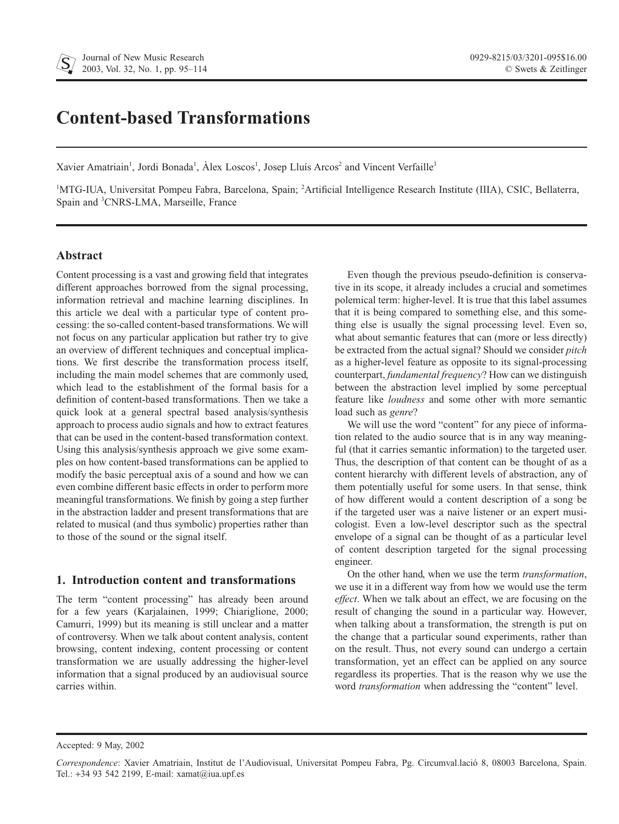# **Content-based Transformations**

Xavier Amatriain<sup>1</sup>, Jordi Bonada<sup>1</sup>, Àlex Loscos<sup>1</sup>, Josep Lluís Arcos<sup>2</sup> and Vincent Verfaille<sup>3</sup>

<sup>1</sup>MTG-IUA, Universitat Pompeu Fabra, Barcelona, Spain; <sup>2</sup>Artificial Intelligence Research Institute (IIIA), CSIC, Bellaterra, Spain and <sup>3</sup>CNRS-LMA, Marseille, France

# **Abstract**

Content processing is a vast and growing field that integrates different approaches borrowed from the signal processing, information retrieval and machine learning disciplines. In this article we deal with a particular type of content processing: the so-called content-based transformations. We will not focus on any particular application but rather try to give an overview of different techniques and conceptual implications. We first describe the transformation process itself, including the main model schemes that are commonly used, which lead to the establishment of the formal basis for a definition of content-based transformations. Then we take a quick look at a general spectral based analysis/synthesis approach to process audio signals and how to extract features that can be used in the content-based transformation context. Using this analysis/synthesis approach we give some examples on how content-based transformations can be applied to modify the basic perceptual axis of a sound and how we can even combine different basic effects in order to perform more meaningful transformations. We finish by going a step further in the abstraction ladder and present transformations that are related to musical (and thus symbolic) properties rather than to those of the sound or the signal itself.

# **1. Introduction content and transformations**

The term "content processing" has already been around for a few years (Karjalainen, 1999; Chiariglione, 2000; Camurri, 1999) but its meaning is still unclear and a matter of controversy. When we talk about content analysis, content browsing, content indexing, content processing or content transformation we are usually addressing the higher-level information that a signal produced by an audiovisual source carries within.

Even though the previous pseudo-definition is conservative in its scope, it already includes a crucial and sometimes polemical term: higher-level. It is true that this label assumes that it is being compared to something else, and this something else is usually the signal processing level. Even so, what about semantic features that can (more or less directly) be extracted from the actual signal? Should we consider *pitch* as a higher-level feature as opposite to its signal-processing counterpart, *fundamental frequency*? How can we distinguish between the abstraction level implied by some perceptual feature like *loudness* and some other with more semantic load such as *genre*?

We will use the word "content" for any piece of information related to the audio source that is in any way meaningful (that it carries semantic information) to the targeted user. Thus, the description of that content can be thought of as a content hierarchy with different levels of abstraction, any of them potentially useful for some users. In that sense, think of how different would a content description of a song be if the targeted user was a naive listener or an expert musicologist. Even a low-level descriptor such as the spectral envelope of a signal can be thought of as a particular level of content description targeted for the signal processing engineer.

On the other hand, when we use the term *transformation*, we use it in a different way from how we would use the term *effect*. When we talk about an effect, we are focusing on the result of changing the sound in a particular way. However, when talking about a transformation, the strength is put on the change that a particular sound experiments, rather than on the result. Thus, not every sound can undergo a certain transformation, yet an effect can be applied on any source regardless its properties. That is the reason why we use the word *transformation* when addressing the "content" level.

Accepted: 9 May, 2002

*Correspondence*: Xavier Amatriain, Institut de l'Audiovisual, Universitat Pompeu Fabra, Pg. Circumval.lació 8, 08003 Barcelona, Spain. Tel.: +34 93 542 2199, E-mail: xamat@iua.upf.es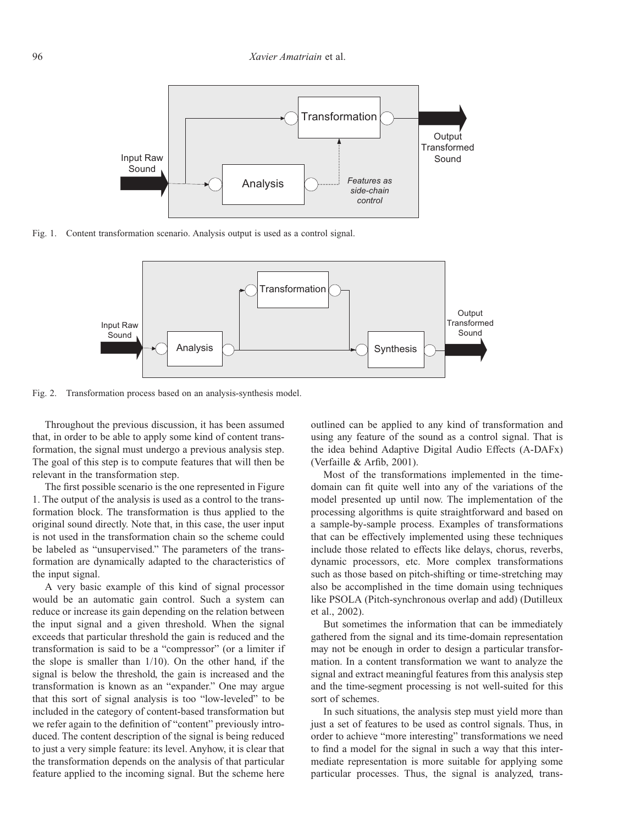

Fig. 1. Content transformation scenario. Analysis output is used as a control signal.



Fig. 2. Transformation process based on an analysis-synthesis model.

Throughout the previous discussion, it has been assumed that, in order to be able to apply some kind of content transformation, the signal must undergo a previous analysis step. The goal of this step is to compute features that will then be relevant in the transformation step.

The first possible scenario is the one represented in Figure 1. The output of the analysis is used as a control to the transformation block. The transformation is thus applied to the original sound directly. Note that, in this case, the user input is not used in the transformation chain so the scheme could be labeled as "unsupervised." The parameters of the transformation are dynamically adapted to the characteristics of the input signal.

A very basic example of this kind of signal processor would be an automatic gain control. Such a system can reduce or increase its gain depending on the relation between the input signal and a given threshold. When the signal exceeds that particular threshold the gain is reduced and the transformation is said to be a "compressor" (or a limiter if the slope is smaller than 1/10). On the other hand, if the signal is below the threshold, the gain is increased and the transformation is known as an "expander." One may argue that this sort of signal analysis is too "low-leveled" to be included in the category of content-based transformation but we refer again to the definition of "content" previously introduced. The content description of the signal is being reduced to just a very simple feature: its level. Anyhow, it is clear that the transformation depends on the analysis of that particular feature applied to the incoming signal. But the scheme here

outlined can be applied to any kind of transformation and using any feature of the sound as a control signal. That is the idea behind Adaptive Digital Audio Effects (A-DAFx) (Verfaille & Arfib, 2001).

Most of the transformations implemented in the timedomain can fit quite well into any of the variations of the model presented up until now. The implementation of the processing algorithms is quite straightforward and based on a sample-by-sample process. Examples of transformations that can be effectively implemented using these techniques include those related to effects like delays, chorus, reverbs, dynamic processors, etc. More complex transformations such as those based on pitch-shifting or time-stretching may also be accomplished in the time domain using techniques like PSOLA (Pitch-synchronous overlap and add) (Dutilleux et al., 2002).

But sometimes the information that can be immediately gathered from the signal and its time-domain representation may not be enough in order to design a particular transformation. In a content transformation we want to analyze the signal and extract meaningful features from this analysis step and the time-segment processing is not well-suited for this sort of schemes.

In such situations, the analysis step must yield more than just a set of features to be used as control signals. Thus, in order to achieve "more interesting" transformations we need to find a model for the signal in such a way that this intermediate representation is more suitable for applying some particular processes. Thus, the signal is analyzed, trans-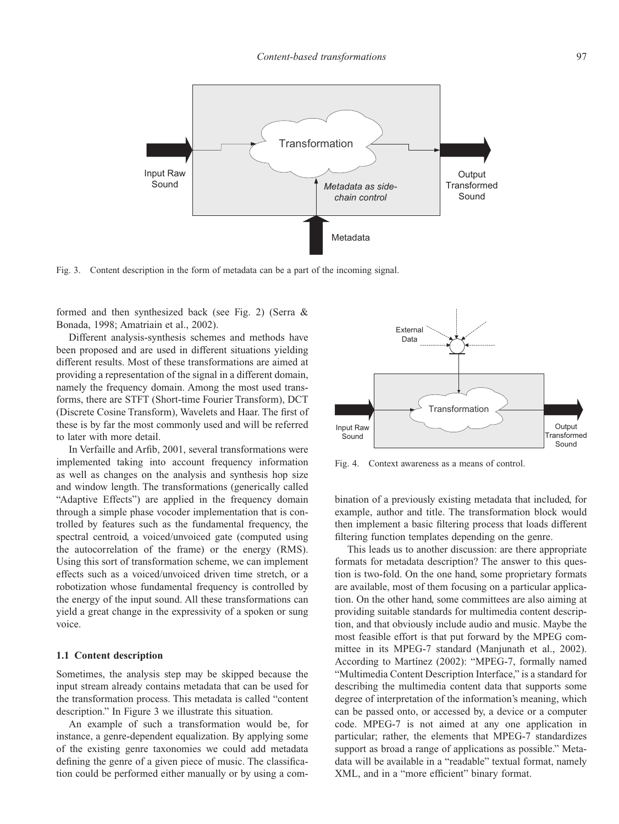

Fig. 3. Content description in the form of metadata can be a part of the incoming signal.

formed and then synthesized back (see Fig. 2) (Serra & Bonada, 1998; Amatriain et al., 2002).

Different analysis-synthesis schemes and methods have been proposed and are used in different situations yielding different results. Most of these transformations are aimed at providing a representation of the signal in a different domain, namely the frequency domain. Among the most used transforms, there are STFT (Short-time Fourier Transform), DCT (Discrete Cosine Transform), Wavelets and Haar. The first of these is by far the most commonly used and will be referred to later with more detail.

In Verfaille and Arfib, 2001, several transformations were implemented taking into account frequency information as well as changes on the analysis and synthesis hop size and window length. The transformations (generically called "Adaptive Effects") are applied in the frequency domain through a simple phase vocoder implementation that is controlled by features such as the fundamental frequency, the spectral centroid, a voiced/unvoiced gate (computed using the autocorrelation of the frame) or the energy (RMS). Using this sort of transformation scheme, we can implement effects such as a voiced/unvoiced driven time stretch, or a robotization whose fundamental frequency is controlled by the energy of the input sound. All these transformations can yield a great change in the expressivity of a spoken or sung voice.

## **1.1 Content description**

Sometimes, the analysis step may be skipped because the input stream already contains metadata that can be used for the transformation process. This metadata is called "content description." In Figure 3 we illustrate this situation.

An example of such a transformation would be, for instance, a genre-dependent equalization. By applying some of the existing genre taxonomies we could add metadata defining the genre of a given piece of music. The classification could be performed either manually or by using a com-



Fig. 4. Context awareness as a means of control.

bination of a previously existing metadata that included, for example, author and title. The transformation block would then implement a basic filtering process that loads different filtering function templates depending on the genre.

This leads us to another discussion: are there appropriate formats for metadata description? The answer to this question is two-fold. On the one hand, some proprietary formats are available, most of them focusing on a particular application. On the other hand, some committees are also aiming at providing suitable standards for multimedia content description, and that obviously include audio and music. Maybe the most feasible effort is that put forward by the MPEG committee in its MPEG-7 standard (Manjunath et al., 2002). According to Martínez (2002): "MPEG-7, formally named "Multimedia Content Description Interface," is a standard for describing the multimedia content data that supports some degree of interpretation of the information's meaning, which can be passed onto, or accessed by, a device or a computer code. MPEG-7 is not aimed at any one application in particular; rather, the elements that MPEG-7 standardizes support as broad a range of applications as possible." Metadata will be available in a "readable" textual format, namely XML, and in a "more efficient" binary format.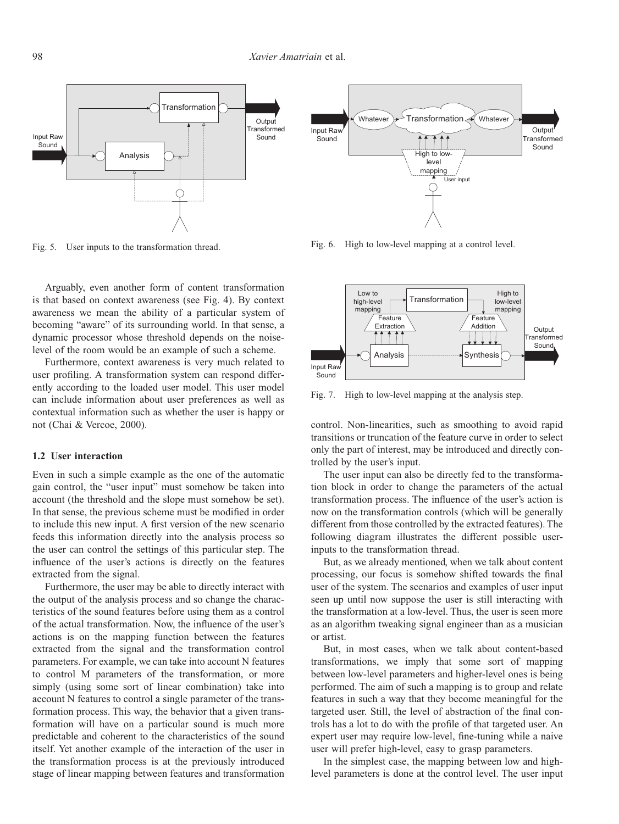

Fig. 5. User inputs to the transformation thread.

Arguably, even another form of content transformation is that based on context awareness (see Fig. 4). By context awareness we mean the ability of a particular system of becoming "aware" of its surrounding world. In that sense, a dynamic processor whose threshold depends on the noiselevel of the room would be an example of such a scheme.

Furthermore, context awareness is very much related to user profiling. A transformation system can respond differently according to the loaded user model. This user model can include information about user preferences as well as contextual information such as whether the user is happy or not (Chai & Vercoe, 2000).

#### **1.2 User interaction**

Even in such a simple example as the one of the automatic gain control, the "user input" must somehow be taken into account (the threshold and the slope must somehow be set). In that sense, the previous scheme must be modified in order to include this new input. A first version of the new scenario feeds this information directly into the analysis process so the user can control the settings of this particular step. The influence of the user's actions is directly on the features extracted from the signal.

Furthermore, the user may be able to directly interact with the output of the analysis process and so change the characteristics of the sound features before using them as a control of the actual transformation. Now, the influence of the user's actions is on the mapping function between the features extracted from the signal and the transformation control parameters. For example, we can take into account N features to control M parameters of the transformation, or more simply (using some sort of linear combination) take into account N features to control a single parameter of the transformation process. This way, the behavior that a given transformation will have on a particular sound is much more predictable and coherent to the characteristics of the sound itself. Yet another example of the interaction of the user in the transformation process is at the previously introduced stage of linear mapping between features and transformation



Fig. 6. High to low-level mapping at a control level.



Fig. 7. High to low-level mapping at the analysis step.

control. Non-linearities, such as smoothing to avoid rapid transitions or truncation of the feature curve in order to select only the part of interest, may be introduced and directly controlled by the user's input.

The user input can also be directly fed to the transformation block in order to change the parameters of the actual transformation process. The influence of the user's action is now on the transformation controls (which will be generally different from those controlled by the extracted features). The following diagram illustrates the different possible userinputs to the transformation thread.

But, as we already mentioned, when we talk about content processing, our focus is somehow shifted towards the final user of the system. The scenarios and examples of user input seen up until now suppose the user is still interacting with the transformation at a low-level. Thus, the user is seen more as an algorithm tweaking signal engineer than as a musician or artist.

But, in most cases, when we talk about content-based transformations, we imply that some sort of mapping between low-level parameters and higher-level ones is being performed. The aim of such a mapping is to group and relate features in such a way that they become meaningful for the targeted user. Still, the level of abstraction of the final controls has a lot to do with the profile of that targeted user. An expert user may require low-level, fine-tuning while a naive user will prefer high-level, easy to grasp parameters.

In the simplest case, the mapping between low and highlevel parameters is done at the control level. The user input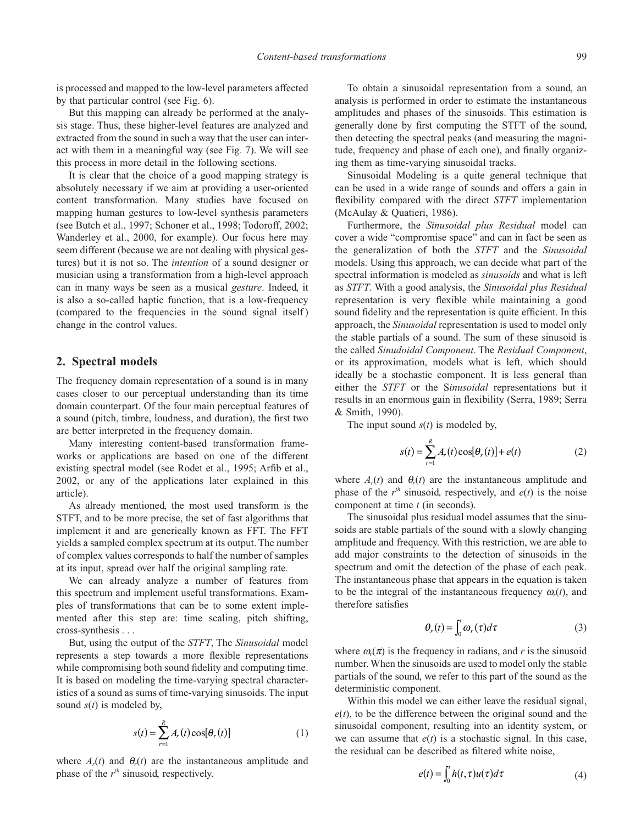is processed and mapped to the low-level parameters affected by that particular control (see Fig. 6).

But this mapping can already be performed at the analysis stage. Thus, these higher-level features are analyzed and extracted from the sound in such a way that the user can interact with them in a meaningful way (see Fig. 7). We will see this process in more detail in the following sections.

It is clear that the choice of a good mapping strategy is absolutely necessary if we aim at providing a user-oriented content transformation. Many studies have focused on mapping human gestures to low-level synthesis parameters (see Butch et al., 1997; Schoner et al., 1998; Todoroff, 2002; Wanderley et al., 2000, for example). Our focus here may seem different (because we are not dealing with physical gestures) but it is not so. The *intention* of a sound designer or musician using a transformation from a high-level approach can in many ways be seen as a musical *gesture*. Indeed, it is also a so-called haptic function, that is a low-frequency (compared to the frequencies in the sound signal itself ) change in the control values.

## **2. Spectral models**

The frequency domain representation of a sound is in many cases closer to our perceptual understanding than its time domain counterpart. Of the four main perceptual features of a sound (pitch, timbre, loudness, and duration), the first two are better interpreted in the frequency domain.

Many interesting content-based transformation frameworks or applications are based on one of the different existing spectral model (see Rodet et al., 1995; Arfib et al., 2002, or any of the applications later explained in this article).

As already mentioned, the most used transform is the STFT, and to be more precise, the set of fast algorithms that implement it and are generically known as FFT. The FFT yields a sampled complex spectrum at its output. The number of complex values corresponds to half the number of samples at its input, spread over half the original sampling rate.

We can already analyze a number of features from this spectrum and implement useful transformations. Examples of transformations that can be to some extent implemented after this step are: time scaling, pitch shifting, cross-synthesis...

But, using the output of the *STFT*, The *Sinusoidal* model represents a step towards a more flexible representations while compromising both sound fidelity and computing time. It is based on modeling the time-varying spectral characteristics of a sound as sums of time-varying sinusoids. The input sound *s*(*t*) is modeled by,

$$
s(t) = \sum_{r=1}^{R} A_r(t) \cos[\theta_r(t)] \tag{1}
$$

where  $A_r(t)$  and  $\theta_r(t)$  are the instantaneous amplitude and phase of the *r th* sinusoid, respectively.

To obtain a sinusoidal representation from a sound, an analysis is performed in order to estimate the instantaneous amplitudes and phases of the sinusoids. This estimation is generally done by first computing the STFT of the sound, then detecting the spectral peaks (and measuring the magnitude, frequency and phase of each one), and finally organizing them as time-varying sinusoidal tracks.

Sinusoidal Modeling is a quite general technique that can be used in a wide range of sounds and offers a gain in flexibility compared with the direct *STFT* implementation (McAulay & Quatieri, 1986).

Furthermore, the *Sinusoidal plus Residual* model can cover a wide "compromise space" and can in fact be seen as the generalization of both the *STFT* and the *Sinusoidal* models. Using this approach, we can decide what part of the spectral information is modeled as *sinusoids* and what is left as *STFT*. With a good analysis, the *Sinusoidal plus Residual* representation is very flexible while maintaining a good sound fidelity and the representation is quite efficient. In this approach, the *Sinusoidal* representation is used to model only the stable partials of a sound. The sum of these sinusoid is the called *Sinudoidal Component*. The *Residual Component*, or its approximation, models what is left, which should ideally be a stochastic component. It is less general than either the *STFT* or the S*inusoidal* representations but it results in an enormous gain in flexibility (Serra, 1989; Serra & Smith, 1990).

The input sound *s*(*t*) is modeled by,

$$
s(t) = \sum_{r=1}^{R} A_r(t) \cos[\theta_r(t)] + e(t)
$$
 (2)

where  $A_r(t)$  and  $\theta_r(t)$  are the instantaneous amplitude and phase of the  $r^{th}$  sinusoid, respectively, and  $e(t)$  is the noise component at time *t* (in seconds).

The sinusoidal plus residual model assumes that the sinusoids are stable partials of the sound with a slowly changing amplitude and frequency. With this restriction, we are able to add major constraints to the detection of sinusoids in the spectrum and omit the detection of the phase of each peak. The instantaneous phase that appears in the equation is taken to be the integral of the instantaneous frequency  $\omega_r(t)$ , and therefore satisfies

$$
\theta_r(t) = \int_0^t \omega_r(\tau) d\tau \tag{3}
$$

where  $\omega_r(\pi)$  is the frequency in radians, and *r* is the sinusoid number. When the sinusoids are used to model only the stable partials of the sound, we refer to this part of the sound as the deterministic component.

Within this model we can either leave the residual signal,  $e(t)$ , to be the difference between the original sound and the sinusoidal component, resulting into an identity system, or we can assume that  $e(t)$  is a stochastic signal. In this case, the residual can be described as filtered white noise,

$$
e(t) = \int_0^t h(t, \tau) u(\tau) d\tau
$$
 (4)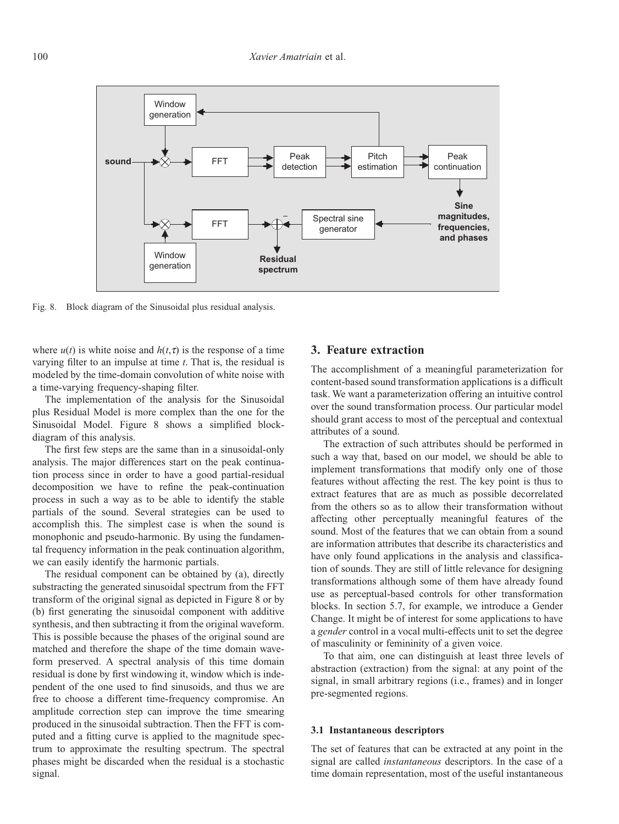

Fig. 8. Block diagram of the Sinusoidal plus residual analysis.

where  $u(t)$  is white noise and  $h(t, \tau)$  is the response of a time varying filter to an impulse at time *t*. That is, the residual is modeled by the time-domain convolution of white noise with a time-varying frequency-shaping filter.

The implementation of the analysis for the Sinusoidal plus Residual Model is more complex than the one for the Sinusoidal Model. Figure 8 shows a simplified blockdiagram of this analysis.

The first few steps are the same than in a sinusoidal-only analysis. The major differences start on the peak continuation process since in order to have a good partial-residual decomposition we have to refine the peak-continuation process in such a way as to be able to identify the stable partials of the sound. Several strategies can be used to accomplish this. The simplest case is when the sound is monophonic and pseudo-harmonic. By using the fundamental frequency information in the peak continuation algorithm, we can easily identify the harmonic partials.

The residual component can be obtained by (a), directly substracting the generated sinusoidal spectrum from the FFT transform of the original signal as depicted in Figure 8 or by (b) first generating the sinusoidal component with additive synthesis, and then subtracting it from the original waveform. This is possible because the phases of the original sound are matched and therefore the shape of the time domain waveform preserved. A spectral analysis of this time domain residual is done by first windowing it, window which is independent of the one used to find sinusoids, and thus we are free to choose a different time-frequency compromise. An amplitude correction step can improve the time smearing produced in the sinusoidal subtraction. Then the FFT is computed and a fitting curve is applied to the magnitude spectrum to approximate the resulting spectrum. The spectral phases might be discarded when the residual is a stochastic signal.

## **3. Feature extraction**

The accomplishment of a meaningful parameterization for content-based sound transformation applications is a difficult task. We want a parameterization offering an intuitive control over the sound transformation process. Our particular model should grant access to most of the perceptual and contextual attributes of a sound.

The extraction of such attributes should be performed in such a way that, based on our model, we should be able to implement transformations that modify only one of those features without affecting the rest. The key point is thus to extract features that are as much as possible decorrelated from the others so as to allow their transformation without affecting other perceptually meaningful features of the sound. Most of the features that we can obtain from a sound are information attributes that describe its characteristics and have only found applications in the analysis and classification of sounds. They are still of little relevance for designing transformations although some of them have already found use as perceptual-based controls for other transformation blocks. In section 5.7, for example, we introduce a Gender Change. It might be of interest for some applications to have a *gender* control in a vocal multi-effects unit to set the degree of masculinity or femininity of a given voice.

To that aim, one can distinguish at least three levels of abstraction (extraction) from the signal: at any point of the signal, in small arbitrary regions (i.e., frames) and in longer pre-segmented regions.

#### **3.1 Instantaneous descriptors**

The set of features that can be extracted at any point in the signal are called *instantaneous* descriptors. In the case of a time domain representation, most of the useful instantaneous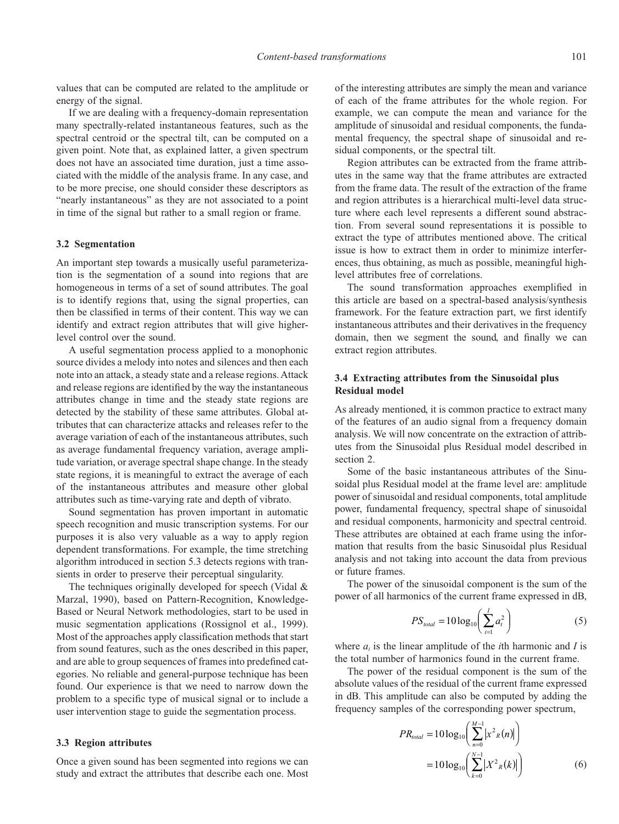values that can be computed are related to the amplitude or energy of the signal.

If we are dealing with a frequency-domain representation many spectrally-related instantaneous features, such as the spectral centroid or the spectral tilt, can be computed on a given point. Note that, as explained latter, a given spectrum does not have an associated time duration, just a time associated with the middle of the analysis frame. In any case, and to be more precise, one should consider these descriptors as "nearly instantaneous" as they are not associated to a point in time of the signal but rather to a small region or frame.

## **3.2 Segmentation**

An important step towards a musically useful parameterization is the segmentation of a sound into regions that are homogeneous in terms of a set of sound attributes. The goal is to identify regions that, using the signal properties, can then be classified in terms of their content. This way we can identify and extract region attributes that will give higherlevel control over the sound.

A useful segmentation process applied to a monophonic source divides a melody into notes and silences and then each note into an attack, a steady state and a release regions. Attack and release regions are identified by the way the instantaneous attributes change in time and the steady state regions are detected by the stability of these same attributes. Global attributes that can characterize attacks and releases refer to the average variation of each of the instantaneous attributes, such as average fundamental frequency variation, average amplitude variation, or average spectral shape change. In the steady state regions, it is meaningful to extract the average of each of the instantaneous attributes and measure other global attributes such as time-varying rate and depth of vibrato.

Sound segmentation has proven important in automatic speech recognition and music transcription systems. For our purposes it is also very valuable as a way to apply region dependent transformations. For example, the time stretching algorithm introduced in section 5.3 detects regions with transients in order to preserve their perceptual singularity.

The techniques originally developed for speech (Vidal & Marzal, 1990), based on Pattern-Recognition, Knowledge-Based or Neural Network methodologies, start to be used in music segmentation applications (Rossignol et al., 1999). Most of the approaches apply classification methods that start from sound features, such as the ones described in this paper, and are able to group sequences of frames into predefined categories. No reliable and general-purpose technique has been found. Our experience is that we need to narrow down the problem to a specific type of musical signal or to include a user intervention stage to guide the segmentation process.

## **3.3 Region attributes**

Once a given sound has been segmented into regions we can study and extract the attributes that describe each one. Most of the interesting attributes are simply the mean and variance of each of the frame attributes for the whole region. For example, we can compute the mean and variance for the amplitude of sinusoidal and residual components, the fundamental frequency, the spectral shape of sinusoidal and residual components, or the spectral tilt.

Region attributes can be extracted from the frame attributes in the same way that the frame attributes are extracted from the frame data. The result of the extraction of the frame and region attributes is a hierarchical multi-level data structure where each level represents a different sound abstraction. From several sound representations it is possible to extract the type of attributes mentioned above. The critical issue is how to extract them in order to minimize interferences, thus obtaining, as much as possible, meaningful highlevel attributes free of correlations.

The sound transformation approaches exemplified in this article are based on a spectral-based analysis/synthesis framework. For the feature extraction part, we first identify instantaneous attributes and their derivatives in the frequency domain, then we segment the sound, and finally we can extract region attributes.

## **3.4 Extracting attributes from the Sinusoidal plus Residual model**

As already mentioned, it is common practice to extract many of the features of an audio signal from a frequency domain analysis. We will now concentrate on the extraction of attributes from the Sinusoidal plus Residual model described in section 2.

Some of the basic instantaneous attributes of the Sinusoidal plus Residual model at the frame level are: amplitude power of sinusoidal and residual components, total amplitude power, fundamental frequency, spectral shape of sinusoidal and residual components, harmonicity and spectral centroid. These attributes are obtained at each frame using the information that results from the basic Sinusoidal plus Residual analysis and not taking into account the data from previous or future frames.

The power of the sinusoidal component is the sum of the power of all harmonics of the current frame expressed in dB,

$$
PS_{total} = 10 \log_{10} \left( \sum_{i=1}^{I} a_i^2 \right)
$$
 (5)

where *ai* is the linear amplitude of the *i*th harmonic and *I* is the total number of harmonics found in the current frame.

The power of the residual component is the sum of the absolute values of the residual of the current frame expressed in dB. This amplitude can also be computed by adding the frequency samples of the corresponding power spectrum,

$$
PR_{total} = 10 \log_{10} \left( \sum_{n=0}^{M-1} |x^2_R(n)| \right)
$$
  
=  $10 \log_{10} \left( \sum_{k=0}^{N-1} |X^2_R(k)| \right)$  (6)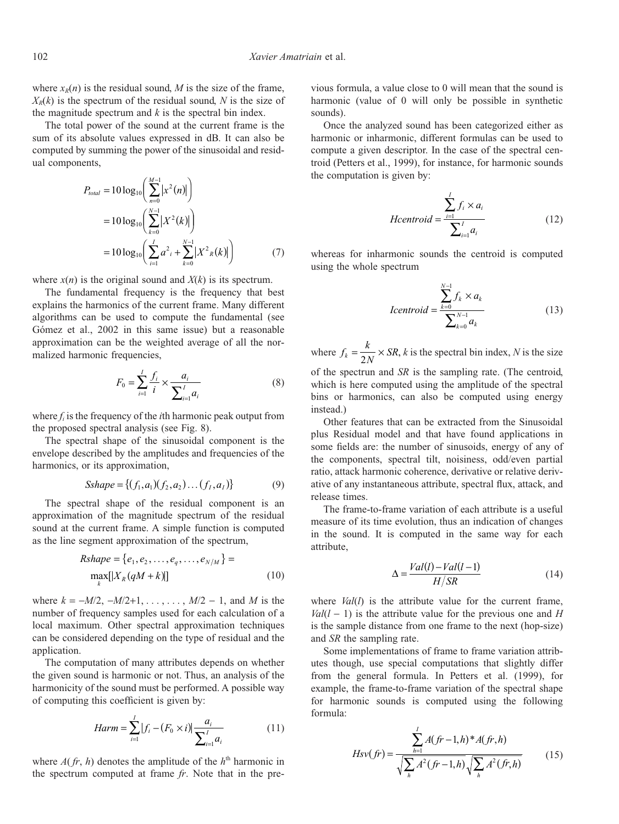where  $x_R(n)$  is the residual sound, *M* is the size of the frame,  $X<sub>p</sub>(k)$  is the spectrum of the residual sound, *N* is the size of the magnitude spectrum and *k* is the spectral bin index.

The total power of the sound at the current frame is the sum of its absolute values expressed in dB. It can also be computed by summing the power of the sinusoidal and residual components,

$$
P_{total} = 10 \log_{10} \left( \sum_{n=0}^{M-1} |x^2(n)| \right)
$$
  
=  $10 \log_{10} \left( \sum_{k=0}^{N-1} |X^2(k)| \right)$   
=  $10 \log_{10} \left( \sum_{i=1}^{I} a^2_i + \sum_{k=0}^{N-1} |X^2_R(k)| \right)$  (7)

where  $x(n)$  is the original sound and  $X(k)$  is its spectrum.

The fundamental frequency is the frequency that best explains the harmonics of the current frame. Many different algorithms can be used to compute the fundamental (see Gómez et al., 2002 in this same issue) but a reasonable approximation can be the weighted average of all the normalized harmonic frequencies,

$$
F_0 = \sum_{i=1}^{I} \frac{f_i}{i} \times \frac{a_i}{\sum_{i=1}^{I} a_i}
$$
 (8)

where *fi* is the frequency of the *i*th harmonic peak output from the proposed spectral analysis (see Fig. 8).

The spectral shape of the sinusoidal component is the envelope described by the amplitudes and frequencies of the harmonics, or its approximation,

$$
Sshape = \{(f_1, a_1)(f_2, a_2) \dots (f_I, a_I)\}\tag{9}
$$

The spectral shape of the residual component is an approximation of the magnitude spectrum of the residual sound at the current frame. A simple function is computed as the line segment approximation of the spectrum,

Rshape = {
$$
e_1, e_2, ..., e_q, ..., e_{N/M}
$$
} =  
\n
$$
\max_{k} [|X_R(qM+k)|]
$$
\n(10)

where  $k = -M/2, -M/2+1, \ldots, M/2-1$ , and *M* is the number of frequency samples used for each calculation of a local maximum. Other spectral approximation techniques can be considered depending on the type of residual and the application.

The computation of many attributes depends on whether the given sound is harmonic or not. Thus, an analysis of the harmonicity of the sound must be performed. A possible way of computing this coefficient is given by:

$$
Harm = \sum_{i=1}^{I} |f_i - (F_0 \times i)| \frac{a_i}{\sum_{i=1}^{I} a_i}
$$
 (11)

where  $A(fr, h)$  denotes the amplitude of the  $h<sup>th</sup>$  harmonic in the spectrum computed at frame *fr*. Note that in the previous formula, a value close to 0 will mean that the sound is harmonic (value of 0 will only be possible in synthetic sounds).

Once the analyzed sound has been categorized either as harmonic or inharmonic, different formulas can be used to compute a given descriptor. In the case of the spectral centroid (Petters et al., 1999), for instance, for harmonic sounds the computation is given by:

$$
Hcentroid = \frac{\sum_{i=1}^{I} f_i \times a_i}{\sum_{i=1}^{I} a_i}
$$
 (12)

whereas for inharmonic sounds the centroid is computed using the whole spectrum

$$
Icentroid = \frac{\sum_{k=0}^{N-1} f_k \times a_k}{\sum_{k=0}^{N-1} a_k}
$$
 (13)

where  $f_k = \frac{k}{2N} \times SR$ , *k* is the spectral bin index, *N* is the size of the spectrun and *SR* is the sampling rate. (The centroid,

which is here computed using the amplitude of the spectral bins or harmonics, can also be computed using energy instead.)

Other features that can be extracted from the Sinusoidal plus Residual model and that have found applications in some fields are: the number of sinusoids, energy of any of the components, spectral tilt, noisiness, odd/even partial ratio, attack harmonic coherence, derivative or relative derivative of any instantaneous attribute, spectral flux, attack, and release times.

The frame-to-frame variation of each attribute is a useful measure of its time evolution, thus an indication of changes in the sound. It is computed in the same way for each attribute,

$$
\Delta = \frac{Val(l) - Val(l-1)}{H/SR} \tag{14}
$$

where *Val*(*l*) is the attribute value for the current frame,  $Val(l - 1)$  is the attribute value for the previous one and *H* is the sample distance from one frame to the next (hop-size) and *SR* the sampling rate.

Some implementations of frame to frame variation attributes though, use special computations that slightly differ from the general formula. In Petters et al. (1999), for example, the frame-to-frame variation of the spectral shape for harmonic sounds is computed using the following formula:

$$
Hsv(fr) = \frac{\sum_{h=1}^{I} A(fr-1,h) * A(fr,h)}{\sqrt{\sum_{h} A^2(fr-1,h)} \sqrt{\sum_{h} A^2(fr,h)}}
$$
(15)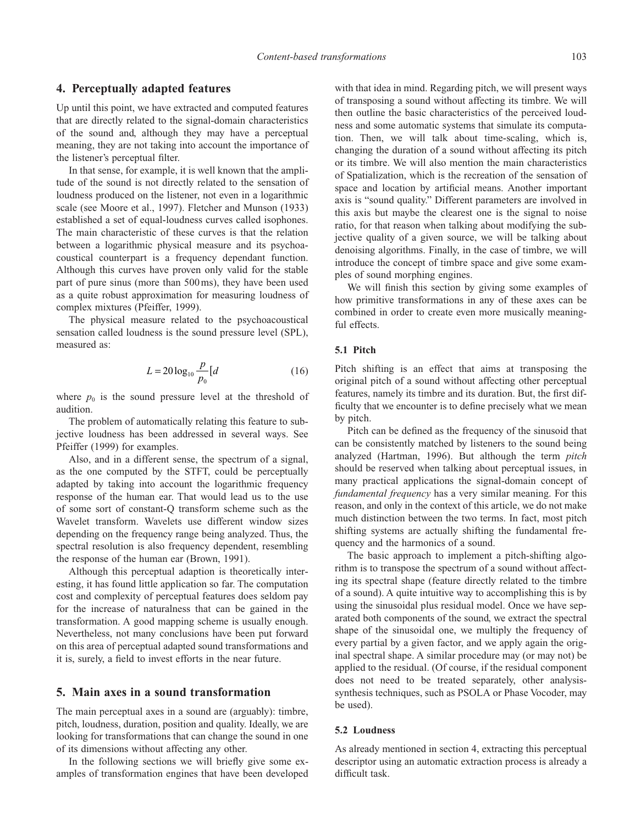## **4. Perceptually adapted features**

Up until this point, we have extracted and computed features that are directly related to the signal-domain characteristics of the sound and, although they may have a perceptual meaning, they are not taking into account the importance of the listener's perceptual filter.

In that sense, for example, it is well known that the amplitude of the sound is not directly related to the sensation of loudness produced on the listener, not even in a logarithmic scale (see Moore et al., 1997). Fletcher and Munson (1933) established a set of equal-loudness curves called isophones. The main characteristic of these curves is that the relation between a logarithmic physical measure and its psychoacoustical counterpart is a frequency dependant function. Although this curves have proven only valid for the stable part of pure sinus (more than 500 ms), they have been used as a quite robust approximation for measuring loudness of complex mixtures (Pfeiffer, 1999).

The physical measure related to the psychoacoustical sensation called loudness is the sound pressure level (SPL), measured as:

$$
L = 20\log_{10}\frac{p}{p_0}[d \tag{16}
$$

where  $p_0$  is the sound pressure level at the threshold of audition.

The problem of automatically relating this feature to subjective loudness has been addressed in several ways. See Pfeiffer (1999) for examples.

Also, and in a different sense, the spectrum of a signal, as the one computed by the STFT, could be perceptually adapted by taking into account the logarithmic frequency response of the human ear. That would lead us to the use of some sort of constant-Q transform scheme such as the Wavelet transform. Wavelets use different window sizes depending on the frequency range being analyzed. Thus, the spectral resolution is also frequency dependent, resembling the response of the human ear (Brown, 1991).

Although this perceptual adaption is theoretically interesting, it has found little application so far. The computation cost and complexity of perceptual features does seldom pay for the increase of naturalness that can be gained in the transformation. A good mapping scheme is usually enough. Nevertheless, not many conclusions have been put forward on this area of perceptual adapted sound transformations and it is, surely, a field to invest efforts in the near future.

## **5. Main axes in a sound transformation**

The main perceptual axes in a sound are (arguably): timbre, pitch, loudness, duration, position and quality. Ideally, we are looking for transformations that can change the sound in one of its dimensions without affecting any other.

In the following sections we will briefly give some examples of transformation engines that have been developed with that idea in mind. Regarding pitch, we will present ways of transposing a sound without affecting its timbre. We will then outline the basic characteristics of the perceived loudness and some automatic systems that simulate its computation. Then, we will talk about time-scaling, which is, changing the duration of a sound without affecting its pitch or its timbre. We will also mention the main characteristics of Spatialization, which is the recreation of the sensation of space and location by artificial means. Another important axis is "sound quality." Different parameters are involved in this axis but maybe the clearest one is the signal to noise ratio, for that reason when talking about modifying the subjective quality of a given source, we will be talking about denoising algorithms. Finally, in the case of timbre, we will introduce the concept of timbre space and give some examples of sound morphing engines.

We will finish this section by giving some examples of how primitive transformations in any of these axes can be combined in order to create even more musically meaningful effects.

## **5.1 Pitch**

Pitch shifting is an effect that aims at transposing the original pitch of a sound without affecting other perceptual features, namely its timbre and its duration. But, the first difficulty that we encounter is to define precisely what we mean by pitch.

Pitch can be defined as the frequency of the sinusoid that can be consistently matched by listeners to the sound being analyzed (Hartman, 1996). But although the term *pitch* should be reserved when talking about perceptual issues, in many practical applications the signal-domain concept of *fundamental frequency* has a very similar meaning. For this reason, and only in the context of this article, we do not make much distinction between the two terms. In fact, most pitch shifting systems are actually shifting the fundamental frequency and the harmonics of a sound.

The basic approach to implement a pitch-shifting algorithm is to transpose the spectrum of a sound without affecting its spectral shape (feature directly related to the timbre of a sound). A quite intuitive way to accomplishing this is by using the sinusoidal plus residual model. Once we have separated both components of the sound, we extract the spectral shape of the sinusoidal one, we multiply the frequency of every partial by a given factor, and we apply again the original spectral shape. A similar procedure may (or may not) be applied to the residual. (Of course, if the residual component does not need to be treated separately, other analysissynthesis techniques, such as PSOLA or Phase Vocoder, may be used).

## **5.2 Loudness**

As already mentioned in section 4, extracting this perceptual descriptor using an automatic extraction process is already a difficult task.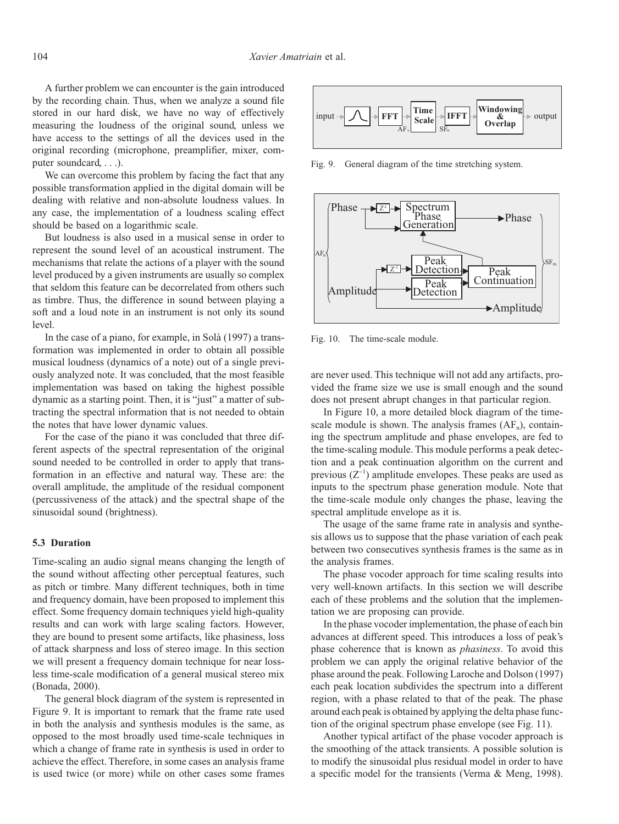A further problem we can encounter is the gain introduced by the recording chain. Thus, when we analyze a sound file stored in our hard disk, we have no way of effectively measuring the loudness of the original sound, unless we have access to the settings of all the devices used in the original recording (microphone, preamplifier, mixer, computer soundcard, . . .).

We can overcome this problem by facing the fact that any possible transformation applied in the digital domain will be dealing with relative and non-absolute loudness values. In any case, the implementation of a loudness scaling effect should be based on a logarithmic scale.

But loudness is also used in a musical sense in order to represent the sound level of an acoustical instrument. The mechanisms that relate the actions of a player with the sound level produced by a given instruments are usually so complex that seldom this feature can be decorrelated from others such as timbre. Thus, the difference in sound between playing a soft and a loud note in an instrument is not only its sound level.

In the case of a piano, for example, in Solà (1997) a transformation was implemented in order to obtain all possible musical loudness (dynamics of a note) out of a single previously analyzed note. It was concluded, that the most feasible implementation was based on taking the highest possible dynamic as a starting point. Then, it is "just" a matter of subtracting the spectral information that is not needed to obtain the notes that have lower dynamic values.

For the case of the piano it was concluded that three different aspects of the spectral representation of the original sound needed to be controlled in order to apply that transformation in an effective and natural way. These are: the overall amplitude, the amplitude of the residual component (percussiveness of the attack) and the spectral shape of the sinusoidal sound (brightness).

## **5.3 Duration**

Time-scaling an audio signal means changing the length of the sound without affecting other perceptual features, such as pitch or timbre. Many different techniques, both in time and frequency domain, have been proposed to implement this effect. Some frequency domain techniques yield high-quality results and can work with large scaling factors. However, they are bound to present some artifacts, like phasiness, loss of attack sharpness and loss of stereo image. In this section we will present a frequency domain technique for near lossless time-scale modification of a general musical stereo mix (Bonada, 2000).

The general block diagram of the system is represented in Figure 9. It is important to remark that the frame rate used in both the analysis and synthesis modules is the same, as opposed to the most broadly used time-scale techniques in which a change of frame rate in synthesis is used in order to achieve the effect. Therefore, in some cases an analysis frame is used twice (or more) while on other cases some frames



Fig. 9. General diagram of the time stretching system.



Fig. 10. The time-scale module.

are never used. This technique will not add any artifacts, provided the frame size we use is small enough and the sound does not present abrupt changes in that particular region.

In Figure 10, a more detailed block diagram of the timescale module is shown. The analysis frames  $(AF_n)$ , containing the spectrum amplitude and phase envelopes, are fed to the time-scaling module. This module performs a peak detection and a peak continuation algorithm on the current and previous  $(Z^{-1})$  amplitude envelopes. These peaks are used as inputs to the spectrum phase generation module. Note that the time-scale module only changes the phase, leaving the spectral amplitude envelope as it is.

The usage of the same frame rate in analysis and synthesis allows us to suppose that the phase variation of each peak between two consecutives synthesis frames is the same as in the analysis frames.

The phase vocoder approach for time scaling results into very well-known artifacts. In this section we will describe each of these problems and the solution that the implementation we are proposing can provide.

In the phase vocoder implementation, the phase of each bin advances at different speed. This introduces a loss of peak's phase coherence that is known as *phasiness*. To avoid this problem we can apply the original relative behavior of the phase around the peak. Following Laroche and Dolson (1997) each peak location subdivides the spectrum into a different region, with a phase related to that of the peak. The phase around each peak is obtained by applying the delta phase function of the original spectrum phase envelope (see Fig. 11).

Another typical artifact of the phase vocoder approach is the smoothing of the attack transients. A possible solution is to modify the sinusoidal plus residual model in order to have a specific model for the transients (Verma & Meng, 1998).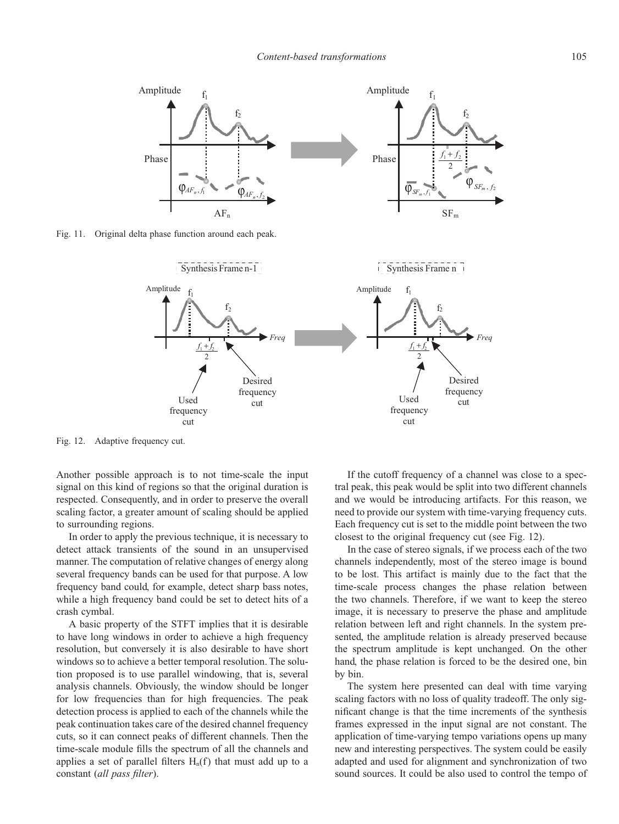

Fig. 11. Original delta phase function around each peak.



Fig. 12. Adaptive frequency cut.

Another possible approach is to not time-scale the input signal on this kind of regions so that the original duration is respected. Consequently, and in order to preserve the overall scaling factor, a greater amount of scaling should be applied to surrounding regions.

In order to apply the previous technique, it is necessary to detect attack transients of the sound in an unsupervised manner. The computation of relative changes of energy along several frequency bands can be used for that purpose. A low frequency band could, for example, detect sharp bass notes, while a high frequency band could be set to detect hits of a crash cymbal.

A basic property of the STFT implies that it is desirable to have long windows in order to achieve a high frequency resolution, but conversely it is also desirable to have short windows so to achieve a better temporal resolution. The solution proposed is to use parallel windowing, that is, several analysis channels. Obviously, the window should be longer for low frequencies than for high frequencies. The peak detection process is applied to each of the channels while the peak continuation takes care of the desired channel frequency cuts, so it can connect peaks of different channels. Then the time-scale module fills the spectrum of all the channels and applies a set of parallel filters  $H_n(f)$  that must add up to a constant (*all pass filter*).

If the cutoff frequency of a channel was close to a spectral peak, this peak would be split into two different channels and we would be introducing artifacts. For this reason, we need to provide our system with time-varying frequency cuts. Each frequency cut is set to the middle point between the two closest to the original frequency cut (see Fig. 12).

In the case of stereo signals, if we process each of the two channels independently, most of the stereo image is bound to be lost. This artifact is mainly due to the fact that the time-scale process changes the phase relation between the two channels. Therefore, if we want to keep the stereo image, it is necessary to preserve the phase and amplitude relation between left and right channels. In the system presented, the amplitude relation is already preserved because the spectrum amplitude is kept unchanged. On the other hand, the phase relation is forced to be the desired one, bin by bin.

The system here presented can deal with time varying scaling factors with no loss of quality tradeoff. The only significant change is that the time increments of the synthesis frames expressed in the input signal are not constant. The application of time-varying tempo variations opens up many new and interesting perspectives. The system could be easily adapted and used for alignment and synchronization of two sound sources. It could be also used to control the tempo of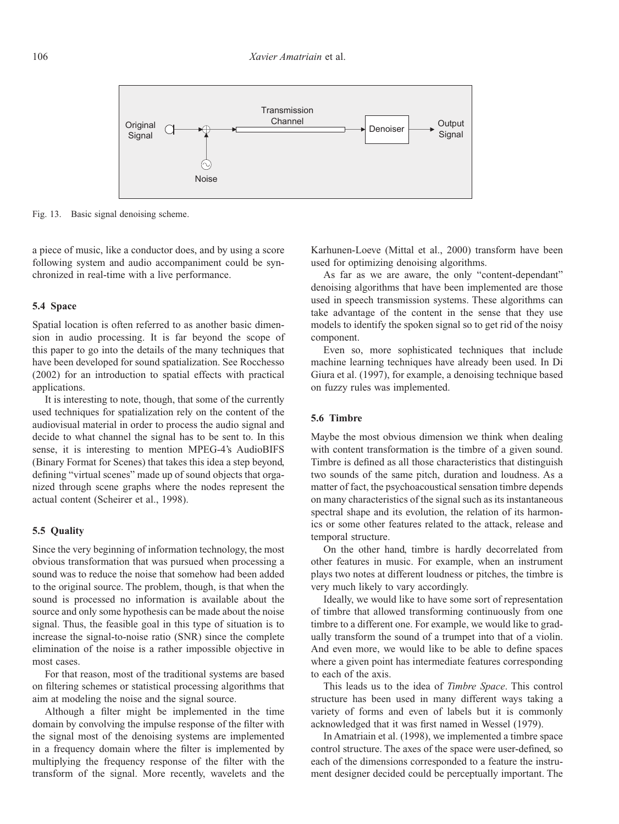

Fig. 13. Basic signal denoising scheme.

a piece of music, like a conductor does, and by using a score following system and audio accompaniment could be synchronized in real-time with a live performance.

## **5.4 Space**

Spatial location is often referred to as another basic dimension in audio processing. It is far beyond the scope of this paper to go into the details of the many techniques that have been developed for sound spatialization. See Rocchesso (2002) for an introduction to spatial effects with practical applications.

It is interesting to note, though, that some of the currently used techniques for spatialization rely on the content of the audiovisual material in order to process the audio signal and decide to what channel the signal has to be sent to. In this sense, it is interesting to mention MPEG-4's AudioBIFS (Binary Format for Scenes) that takes this idea a step beyond, defining "virtual scenes" made up of sound objects that organized through scene graphs where the nodes represent the actual content (Scheirer et al., 1998).

#### **5.5 Quality**

Since the very beginning of information technology, the most obvious transformation that was pursued when processing a sound was to reduce the noise that somehow had been added to the original source. The problem, though, is that when the sound is processed no information is available about the source and only some hypothesis can be made about the noise signal. Thus, the feasible goal in this type of situation is to increase the signal-to-noise ratio (SNR) since the complete elimination of the noise is a rather impossible objective in most cases.

For that reason, most of the traditional systems are based on filtering schemes or statistical processing algorithms that aim at modeling the noise and the signal source.

Although a filter might be implemented in the time domain by convolving the impulse response of the filter with the signal most of the denoising systems are implemented in a frequency domain where the filter is implemented by multiplying the frequency response of the filter with the transform of the signal. More recently, wavelets and the Karhunen-Loeve (Mittal et al., 2000) transform have been used for optimizing denoising algorithms.

As far as we are aware, the only "content-dependant" denoising algorithms that have been implemented are those used in speech transmission systems. These algorithms can take advantage of the content in the sense that they use models to identify the spoken signal so to get rid of the noisy component.

Even so, more sophisticated techniques that include machine learning techniques have already been used. In Di Giura et al. (1997), for example, a denoising technique based on fuzzy rules was implemented.

## **5.6 Timbre**

Maybe the most obvious dimension we think when dealing with content transformation is the timbre of a given sound. Timbre is defined as all those characteristics that distinguish two sounds of the same pitch, duration and loudness. As a matter of fact, the psychoacoustical sensation timbre depends on many characteristics of the signal such as its instantaneous spectral shape and its evolution, the relation of its harmonics or some other features related to the attack, release and temporal structure.

On the other hand, timbre is hardly decorrelated from other features in music. For example, when an instrument plays two notes at different loudness or pitches, the timbre is very much likely to vary accordingly.

Ideally, we would like to have some sort of representation of timbre that allowed transforming continuously from one timbre to a different one. For example, we would like to gradually transform the sound of a trumpet into that of a violin. And even more, we would like to be able to define spaces where a given point has intermediate features corresponding to each of the axis.

This leads us to the idea of *Timbre Space*. This control structure has been used in many different ways taking a variety of forms and even of labels but it is commonly acknowledged that it was first named in Wessel (1979).

In Amatriain et al. (1998), we implemented a timbre space control structure. The axes of the space were user-defined, so each of the dimensions corresponded to a feature the instrument designer decided could be perceptually important. The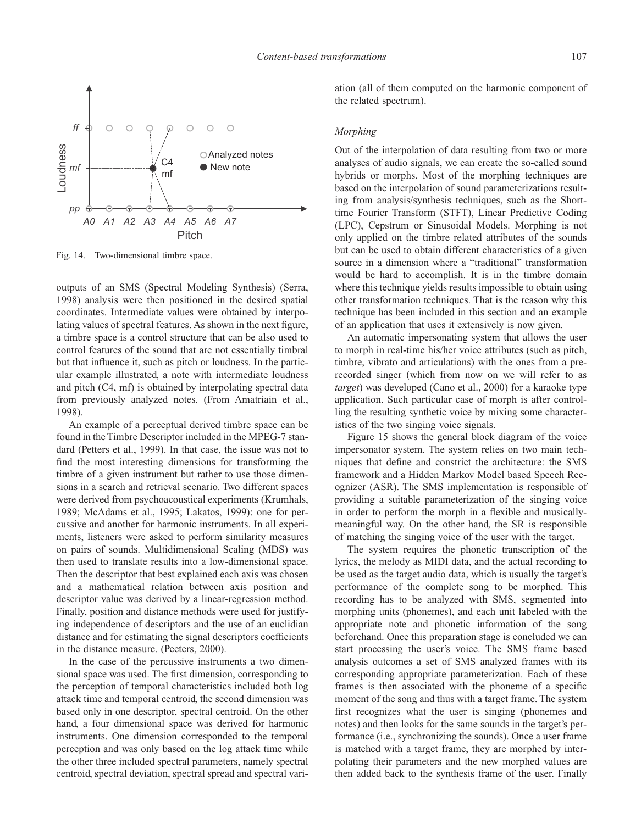

Fig. 14. Two-dimensional timbre space.

outputs of an SMS (Spectral Modeling Synthesis) (Serra, 1998) analysis were then positioned in the desired spatial coordinates. Intermediate values were obtained by interpolating values of spectral features. As shown in the next figure, a timbre space is a control structure that can be also used to control features of the sound that are not essentially timbral but that influence it, such as pitch or loudness. In the particular example illustrated, a note with intermediate loudness and pitch (C4, mf) is obtained by interpolating spectral data from previously analyzed notes. (From Amatriain et al., 1998).

An example of a perceptual derived timbre space can be found in the Timbre Descriptor included in the MPEG-7 standard (Petters et al., 1999). In that case, the issue was not to find the most interesting dimensions for transforming the timbre of a given instrument but rather to use those dimensions in a search and retrieval scenario. Two different spaces were derived from psychoacoustical experiments (Krumhals, 1989; McAdams et al., 1995; Lakatos, 1999): one for percussive and another for harmonic instruments. In all experiments, listeners were asked to perform similarity measures on pairs of sounds. Multidimensional Scaling (MDS) was then used to translate results into a low-dimensional space. Then the descriptor that best explained each axis was chosen and a mathematical relation between axis position and descriptor value was derived by a linear-regression method. Finally, position and distance methods were used for justifying independence of descriptors and the use of an euclidian distance and for estimating the signal descriptors coefficients in the distance measure. (Peeters, 2000).

In the case of the percussive instruments a two dimensional space was used. The first dimension, corresponding to the perception of temporal characteristics included both log attack time and temporal centroid, the second dimension was based only in one descriptor, spectral centroid. On the other hand, a four dimensional space was derived for harmonic instruments. One dimension corresponded to the temporal perception and was only based on the log attack time while the other three included spectral parameters, namely spectral centroid, spectral deviation, spectral spread and spectral variation (all of them computed on the harmonic component of the related spectrum).

#### *Morphing*

Out of the interpolation of data resulting from two or more analyses of audio signals, we can create the so-called sound hybrids or morphs. Most of the morphing techniques are based on the interpolation of sound parameterizations resulting from analysis/synthesis techniques, such as the Shorttime Fourier Transform (STFT), Linear Predictive Coding (LPC), Cepstrum or Sinusoidal Models. Morphing is not only applied on the timbre related attributes of the sounds but can be used to obtain different characteristics of a given source in a dimension where a "traditional" transformation would be hard to accomplish. It is in the timbre domain where this technique yields results impossible to obtain using other transformation techniques. That is the reason why this technique has been included in this section and an example of an application that uses it extensively is now given.

An automatic impersonating system that allows the user to morph in real-time his/her voice attributes (such as pitch, timbre, vibrato and articulations) with the ones from a prerecorded singer (which from now on we will refer to as *target*) was developed (Cano et al., 2000) for a karaoke type application. Such particular case of morph is after controlling the resulting synthetic voice by mixing some characteristics of the two singing voice signals.

Figure 15 shows the general block diagram of the voice impersonator system. The system relies on two main techniques that define and constrict the architecture: the SMS framework and a Hidden Markov Model based Speech Recognizer (ASR). The SMS implementation is responsible of providing a suitable parameterization of the singing voice in order to perform the morph in a flexible and musicallymeaningful way. On the other hand, the SR is responsible of matching the singing voice of the user with the target.

The system requires the phonetic transcription of the lyrics, the melody as MIDI data, and the actual recording to be used as the target audio data, which is usually the target's performance of the complete song to be morphed. This recording has to be analyzed with SMS, segmented into morphing units (phonemes), and each unit labeled with the appropriate note and phonetic information of the song beforehand. Once this preparation stage is concluded we can start processing the user's voice. The SMS frame based analysis outcomes a set of SMS analyzed frames with its corresponding appropriate parameterization. Each of these frames is then associated with the phoneme of a specific moment of the song and thus with a target frame. The system first recognizes what the user is singing (phonemes and notes) and then looks for the same sounds in the target's performance (i.e., synchronizing the sounds). Once a user frame is matched with a target frame, they are morphed by interpolating their parameters and the new morphed values are then added back to the synthesis frame of the user. Finally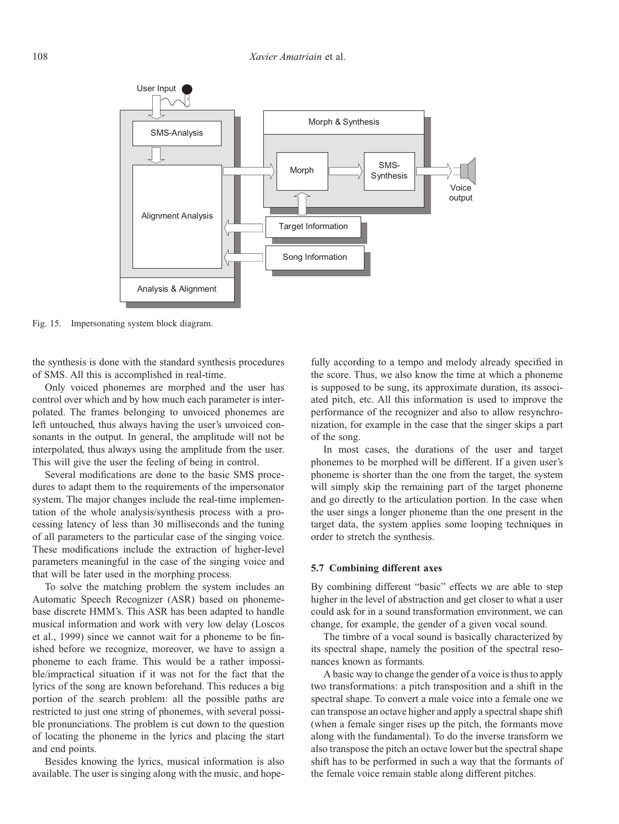

Fig. 15. Impersonating system block diagram.

the synthesis is done with the standard synthesis procedures of SMS. All this is accomplished in real-time.

Only voiced phonemes are morphed and the user has control over which and by how much each parameter is interpolated. The frames belonging to unvoiced phonemes are left untouched, thus always having the user's unvoiced consonants in the output. In general, the amplitude will not be interpolated, thus always using the amplitude from the user. This will give the user the feeling of being in control.

Several modifications are done to the basic SMS procedures to adapt them to the requirements of the impersonator system. The major changes include the real-time implementation of the whole analysis/synthesis process with a processing latency of less than 30 milliseconds and the tuning of all parameters to the particular case of the singing voice. These modifications include the extraction of higher-level parameters meaningful in the case of the singing voice and that will be later used in the morphing process.

To solve the matching problem the system includes an Automatic Speech Recognizer (ASR) based on phonemebase discrete HMM's. This ASR has been adapted to handle musical information and work with very low delay (Loscos et al., 1999) since we cannot wait for a phoneme to be finished before we recognize, moreover, we have to assign a phoneme to each frame. This would be a rather impossible/impractical situation if it was not for the fact that the lyrics of the song are known beforehand. This reduces a big portion of the search problem: all the possible paths are restricted to just one string of phonemes, with several possible pronunciations. The problem is cut down to the question of locating the phoneme in the lyrics and placing the start and end points.

Besides knowing the lyrics, musical information is also available. The user is singing along with the music, and hopefully according to a tempo and melody already specified in the score. Thus, we also know the time at which a phoneme is supposed to be sung, its approximate duration, its associated pitch, etc. All this information is used to improve the performance of the recognizer and also to allow resynchronization, for example in the case that the singer skips a part of the song.

In most cases, the durations of the user and target phonemes to be morphed will be different. If a given user's phoneme is shorter than the one from the target, the system will simply skip the remaining part of the target phoneme and go directly to the articulation portion. In the case when the user sings a longer phoneme than the one present in the target data, the system applies some looping techniques in order to stretch the synthesis.

#### **5.7 Combining different axes**

By combining different "basic" effects we are able to step higher in the level of abstraction and get closer to what a user could ask for in a sound transformation environment, we can change, for example, the gender of a given vocal sound.

The timbre of a vocal sound is basically characterized by its spectral shape, namely the position of the spectral resonances known as formants.

A basic way to change the gender of a voice is thus to apply two transformations: a pitch transposition and a shift in the spectral shape. To convert a male voice into a female one we can transpose an octave higher and apply a spectral shape shift (when a female singer rises up the pitch, the formants move along with the fundamental). To do the inverse transform we also transpose the pitch an octave lower but the spectral shape shift has to be performed in such a way that the formants of the female voice remain stable along different pitches.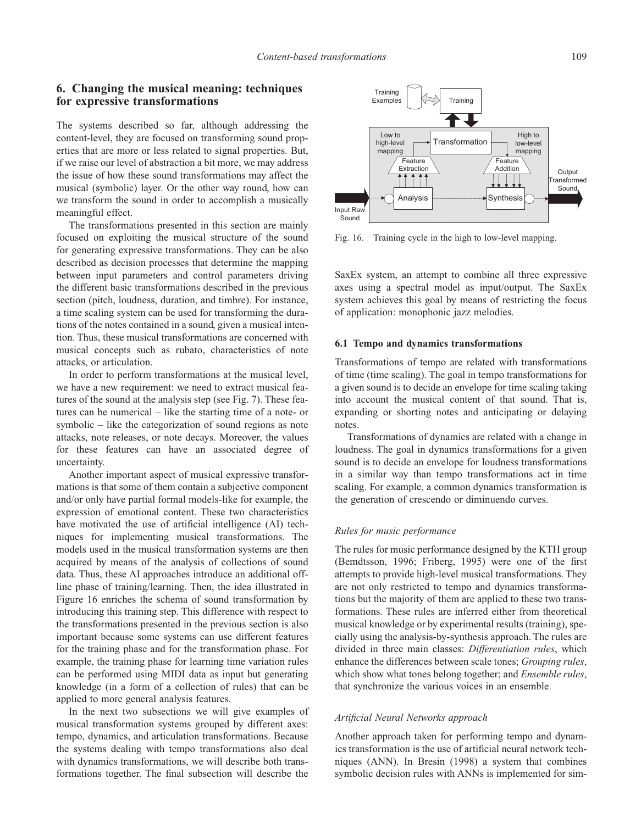# **6. Changing the musical meaning: techniques for expressive transformations**

The systems described so far, although addressing the content-level, they are focused on transforming sound properties that are more or less related to signal properties. But, if we raise our level of abstraction a bit more, we may address the issue of how these sound transformations may affect the musical (symbolic) layer. Or the other way round, how can we transform the sound in order to accomplish a musically meaningful effect.

The transformations presented in this section are mainly focused on exploiting the musical structure of the sound for generating expressive transformations. They can be also described as decision processes that determine the mapping between input parameters and control parameters driving the different basic transformations described in the previous section (pitch, loudness, duration, and timbre). For instance, a time scaling system can be used for transforming the durations of the notes contained in a sound, given a musical intention. Thus, these musical transformations are concerned with musical concepts such as rubato, characteristics of note attacks, or articulation.

In order to perform transformations at the musical level, we have a new requirement: we need to extract musical features of the sound at the analysis step (see Fig. 7). These features can be numerical – like the starting time of a note- or symbolic – like the categorization of sound regions as note attacks, note releases, or note decays. Moreover, the values for these features can have an associated degree of uncertainty.

Another important aspect of musical expressive transformations is that some of them contain a subjective component and/or only have partial formal models-like for example, the expression of emotional content. These two characteristics have motivated the use of artificial intelligence (AI) techniques for implementing musical transformations. The models used in the musical transformation systems are then acquired by means of the analysis of collections of sound data. Thus, these AI approaches introduce an additional offline phase of training/learning. Then, the idea illustrated in Figure 16 enriches the schema of sound transformation by introducing this training step. This difference with respect to the transformations presented in the previous section is also important because some systems can use different features for the training phase and for the transformation phase. For example, the training phase for learning time variation rules can be performed using MIDI data as input but generating knowledge (in a form of a collection of rules) that can be applied to more general analysis features.

In the next two subsections we will give examples of musical transformation systems grouped by different axes: tempo, dynamics, and articulation transformations. Because the systems dealing with tempo transformations also deal with dynamics transformations, we will describe both transformations together. The final subsection will describe the



Fig. 16. Training cycle in the high to low-level mapping.

SaxEx system, an attempt to combine all three expressive axes using a spectral model as input/output. The SaxEx system achieves this goal by means of restricting the focus of application: monophonic jazz melodies.

## **6.1 Tempo and dynamics transformations**

Transformations of tempo are related with transformations of time (time scaling). The goal in tempo transformations for a given sound is to decide an envelope for time scaling taking into account the musical content of that sound. That is, expanding or shorting notes and anticipating or delaying notes.

Transformations of dynamics are related with a change in loudness. The goal in dynamics transformations for a given sound is to decide an envelope for loudness transformations in a similar way than tempo transformations act in time scaling. For example, a common dynamics transformation is the generation of crescendo or diminuendo curves.

#### *Rules for music performance*

The rules for music performance designed by the KTH group (Bemdtsson, 1996; Friberg, 1995) were one of the first attempts to provide high-level musical transformations. They are not only restricted to tempo and dynamics transformations but the majority of them are applied to these two transformations. These rules are inferred either from theoretical musical knowledge or by experimental results (training), specially using the analysis-by-synthesis approach. The rules are divided in three main classes: *Differentiation rules*, which enhance the differences between scale tones; *Grouping rules*, which show what tones belong together; and *Ensemble rules*, that synchronize the various voices in an ensemble.

#### *Artificial Neural Networks approach*

Another approach taken for performing tempo and dynamics transformation is the use of artificial neural network techniques (ANN). In Bresin (1998) a system that combines symbolic decision rules with ANNs is implemented for sim-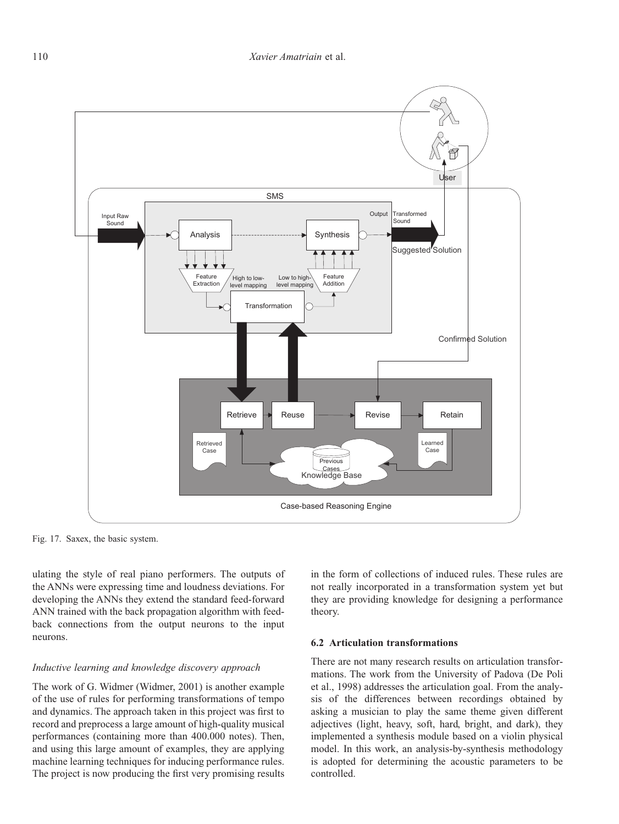

Fig. 17. Saxex, the basic system.

ulating the style of real piano performers. The outputs of the ANNs were expressing time and loudness deviations. For developing the ANNs they extend the standard feed-forward ANN trained with the back propagation algorithm with feedback connections from the output neurons to the input neurons.

## *Inductive learning and knowledge discovery approach*

The work of G. Widmer (Widmer, 2001) is another example of the use of rules for performing transformations of tempo and dynamics. The approach taken in this project was first to record and preprocess a large amount of high-quality musical performances (containing more than 400.000 notes). Then, and using this large amount of examples, they are applying machine learning techniques for inducing performance rules. The project is now producing the first very promising results

in the form of collections of induced rules. These rules are not really incorporated in a transformation system yet but they are providing knowledge for designing a performance theory.

## **6.2 Articulation transformations**

There are not many research results on articulation transformations. The work from the University of Padova (De Poli et al., 1998) addresses the articulation goal. From the analysis of the differences between recordings obtained by asking a musician to play the same theme given different adjectives (light, heavy, soft, hard, bright, and dark), they implemented a synthesis module based on a violin physical model. In this work, an analysis-by-synthesis methodology is adopted for determining the acoustic parameters to be controlled.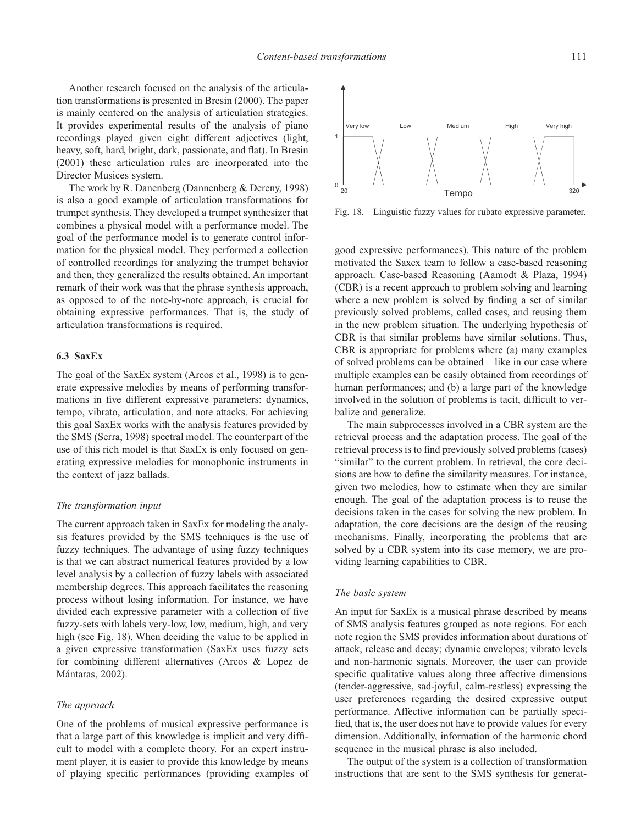Another research focused on the analysis of the articulation transformations is presented in Bresin (2000). The paper is mainly centered on the analysis of articulation strategies. It provides experimental results of the analysis of piano recordings played given eight different adjectives (light, heavy, soft, hard, bright, dark, passionate, and flat). In Bresin (2001) these articulation rules are incorporated into the Director Musices system.

The work by R. Danenberg (Dannenberg & Dereny, 1998) is also a good example of articulation transformations for trumpet synthesis. They developed a trumpet synthesizer that combines a physical model with a performance model. The goal of the performance model is to generate control information for the physical model. They performed a collection of controlled recordings for analyzing the trumpet behavior and then, they generalized the results obtained. An important remark of their work was that the phrase synthesis approach, as opposed to of the note-by-note approach, is crucial for obtaining expressive performances. That is, the study of articulation transformations is required.

#### **6.3 SaxEx**

The goal of the SaxEx system (Arcos et al., 1998) is to generate expressive melodies by means of performing transformations in five different expressive parameters: dynamics, tempo, vibrato, articulation, and note attacks. For achieving this goal SaxEx works with the analysis features provided by the SMS (Serra, 1998) spectral model. The counterpart of the use of this rich model is that SaxEx is only focused on generating expressive melodies for monophonic instruments in the context of jazz ballads.

#### *The transformation input*

The current approach taken in SaxEx for modeling the analysis features provided by the SMS techniques is the use of fuzzy techniques. The advantage of using fuzzy techniques is that we can abstract numerical features provided by a low level analysis by a collection of fuzzy labels with associated membership degrees. This approach facilitates the reasoning process without losing information. For instance, we have divided each expressive parameter with a collection of five fuzzy-sets with labels very-low, low, medium, high, and very high (see Fig. 18). When deciding the value to be applied in a given expressive transformation (SaxEx uses fuzzy sets for combining different alternatives (Arcos & Lopez de Mántaras, 2002).

#### *The approach*

One of the problems of musical expressive performance is that a large part of this knowledge is implicit and very difficult to model with a complete theory. For an expert instrument player, it is easier to provide this knowledge by means of playing specific performances (providing examples of



Fig. 18. Linguistic fuzzy values for rubato expressive parameter.

good expressive performances). This nature of the problem motivated the Saxex team to follow a case-based reasoning approach. Case-based Reasoning (Aamodt & Plaza, 1994) (CBR) is a recent approach to problem solving and learning where a new problem is solved by finding a set of similar previously solved problems, called cases, and reusing them in the new problem situation. The underlying hypothesis of CBR is that similar problems have similar solutions. Thus, CBR is appropriate for problems where (a) many examples of solved problems can be obtained – like in our case where multiple examples can be easily obtained from recordings of human performances; and (b) a large part of the knowledge involved in the solution of problems is tacit, difficult to verbalize and generalize.

The main subprocesses involved in a CBR system are the retrieval process and the adaptation process. The goal of the retrieval process is to find previously solved problems (cases) "similar" to the current problem. In retrieval, the core decisions are how to define the similarity measures. For instance, given two melodies, how to estimate when they are similar enough. The goal of the adaptation process is to reuse the decisions taken in the cases for solving the new problem. In adaptation, the core decisions are the design of the reusing mechanisms. Finally, incorporating the problems that are solved by a CBR system into its case memory, we are providing learning capabilities to CBR.

## *The basic system*

An input for SaxEx is a musical phrase described by means of SMS analysis features grouped as note regions. For each note region the SMS provides information about durations of attack, release and decay; dynamic envelopes; vibrato levels and non-harmonic signals. Moreover, the user can provide specific qualitative values along three affective dimensions (tender-aggressive, sad-joyful, calm-restless) expressing the user preferences regarding the desired expressive output performance. Affective information can be partially specified, that is, the user does not have to provide values for every dimension. Additionally, information of the harmonic chord sequence in the musical phrase is also included.

The output of the system is a collection of transformation instructions that are sent to the SMS synthesis for generat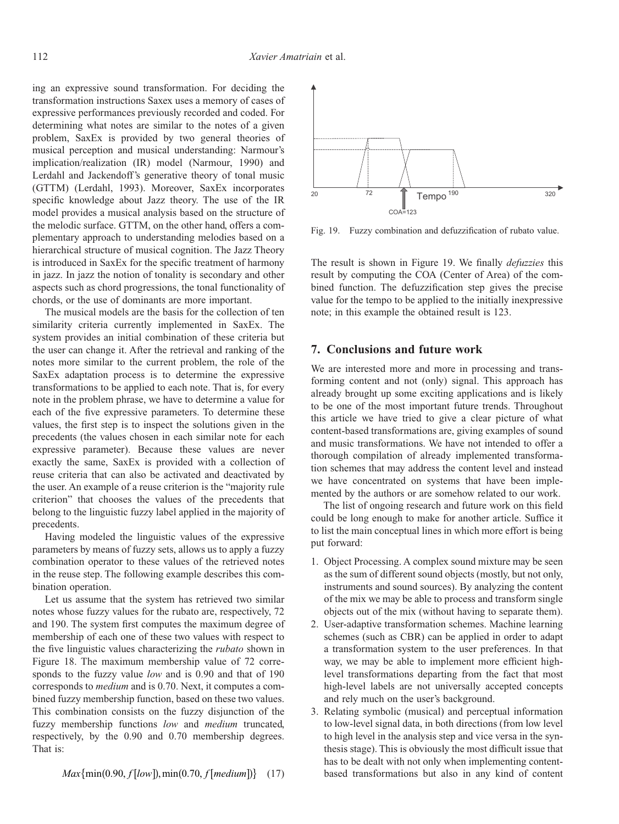ing an expressive sound transformation. For deciding the transformation instructions Saxex uses a memory of cases of expressive performances previously recorded and coded. For determining what notes are similar to the notes of a given problem, SaxEx is provided by two general theories of musical perception and musical understanding: Narmour's implication/realization (IR) model (Narmour, 1990) and Lerdahl and Jackendoff's generative theory of tonal music (GTTM) (Lerdahl, 1993). Moreover, SaxEx incorporates specific knowledge about Jazz theory. The use of the IR model provides a musical analysis based on the structure of the melodic surface. GTTM, on the other hand, offers a complementary approach to understanding melodies based on a hierarchical structure of musical cognition. The Jazz Theory is introduced in SaxEx for the specific treatment of harmony in jazz. In jazz the notion of tonality is secondary and other aspects such as chord progressions, the tonal functionality of chords, or the use of dominants are more important.

The musical models are the basis for the collection of ten similarity criteria currently implemented in SaxEx. The system provides an initial combination of these criteria but the user can change it. After the retrieval and ranking of the notes more similar to the current problem, the role of the SaxEx adaptation process is to determine the expressive transformations to be applied to each note. That is, for every note in the problem phrase, we have to determine a value for each of the five expressive parameters. To determine these values, the first step is to inspect the solutions given in the precedents (the values chosen in each similar note for each expressive parameter). Because these values are never exactly the same, SaxEx is provided with a collection of reuse criteria that can also be activated and deactivated by the user. An example of a reuse criterion is the "majority rule criterion" that chooses the values of the precedents that belong to the linguistic fuzzy label applied in the majority of precedents.

Having modeled the linguistic values of the expressive parameters by means of fuzzy sets, allows us to apply a fuzzy combination operator to these values of the retrieved notes in the reuse step. The following example describes this combination operation.

Let us assume that the system has retrieved two similar notes whose fuzzy values for the rubato are, respectively, 72 and 190. The system first computes the maximum degree of membership of each one of these two values with respect to the five linguistic values characterizing the *rubato* shown in Figure 18. The maximum membership value of 72 corresponds to the fuzzy value *low* and is 0.90 and that of 190 corresponds to *medium* and is 0.70. Next, it computes a combined fuzzy membership function, based on these two values. This combination consists on the fuzzy disjunction of the fuzzy membership functions *low* and *medium* truncated, respectively, by the 0.90 and 0.70 membership degrees. That is:

 $Max\{\min(0.90, f[low])\}$ ,  $min(0.70, f[medium])\}$  (17)



Fig. 19. Fuzzy combination and defuzzification of rubato value.

The result is shown in Figure 19. We finally *defuzzies* this result by computing the COA (Center of Area) of the combined function. The defuzzification step gives the precise value for the tempo to be applied to the initially inexpressive note; in this example the obtained result is 123.

# **7. Conclusions and future work**

We are interested more and more in processing and transforming content and not (only) signal. This approach has already brought up some exciting applications and is likely to be one of the most important future trends. Throughout this article we have tried to give a clear picture of what content-based transformations are, giving examples of sound and music transformations. We have not intended to offer a thorough compilation of already implemented transformation schemes that may address the content level and instead we have concentrated on systems that have been implemented by the authors or are somehow related to our work.

The list of ongoing research and future work on this field could be long enough to make for another article. Suffice it to list the main conceptual lines in which more effort is being put forward:

- 1. Object Processing. A complex sound mixture may be seen as the sum of different sound objects (mostly, but not only, instruments and sound sources). By analyzing the content of the mix we may be able to process and transform single objects out of the mix (without having to separate them).
- 2. User-adaptive transformation schemes. Machine learning schemes (such as CBR) can be applied in order to adapt a transformation system to the user preferences. In that way, we may be able to implement more efficient highlevel transformations departing from the fact that most high-level labels are not universally accepted concepts and rely much on the user's background.
- 3. Relating symbolic (musical) and perceptual information to low-level signal data, in both directions (from low level to high level in the analysis step and vice versa in the synthesis stage). This is obviously the most difficult issue that has to be dealt with not only when implementing contentbased transformations but also in any kind of content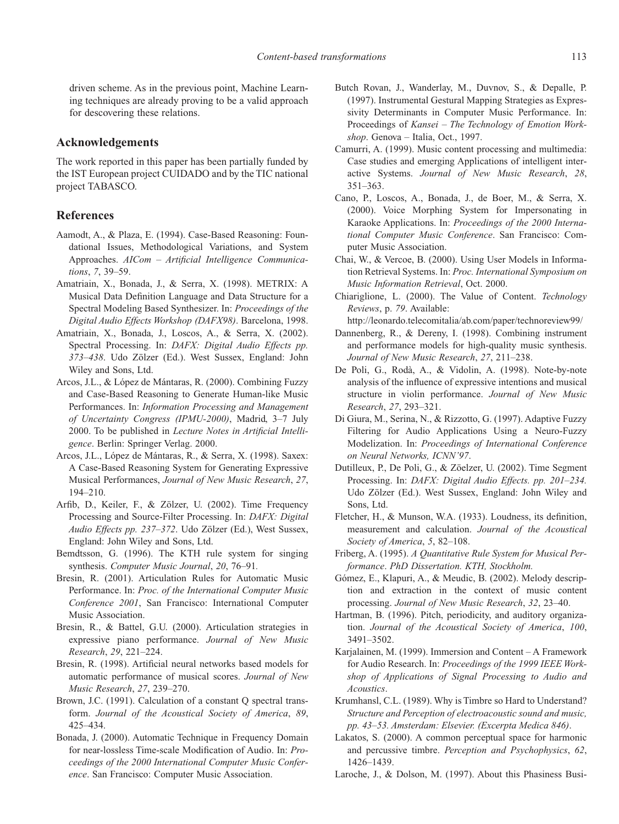driven scheme. As in the previous point, Machine Learning techniques are already proving to be a valid approach for descovering these relations.

## **Acknowledgements**

The work reported in this paper has been partially funded by the IST European project CUIDADO and by the TIC national project TABASCO.

# **References**

- Aamodt, A., & Plaza, E. (1994). Case-Based Reasoning: Foundational Issues, Methodological Variations, and System Approaches. *AICom – Artificial Intelligence Communications*, *7*, 39–59.
- Amatriain, X., Bonada, J., & Serra, X. (1998). METRIX: A Musical Data Definition Language and Data Structure for a Spectral Modeling Based Synthesizer. In: *Proceedings of the Digital Audio Effects Workshop (DAFX98)*. Barcelona, 1998.
- Amatriain, X., Bonada, J., Loscos, A., & Serra, X. (2002). Spectral Processing. In: *DAFX: Digital Audio Effects pp. 373–438*. Udo Zölzer (Ed.). West Sussex, England: John Wiley and Sons, Ltd.
- Arcos, J.L., & López de Mántaras, R. (2000). Combining Fuzzy and Case-Based Reasoning to Generate Human-like Music Performances. In: *Information Processing and Management of Uncertainty Congress (IPMU-2000)*, Madrid, 3–7 July 2000. To be published in *Lecture Notes in Artificial Intelligence*. Berlin: Springer Verlag. 2000.
- Arcos, J.L., López de Mántaras, R., & Serra, X. (1998). Saxex: A Case-Based Reasoning System for Generating Expressive Musical Performances, *Journal of New Music Research*, *27*, 194–210.
- Arfib, D., Keiler, F., & Zölzer, U. (2002). Time Frequency Processing and Source-Filter Processing. In: *DAFX: Digital Audio Effects pp. 237–372*. Udo Zölzer (Ed.), West Sussex, England: John Wiley and Sons, Ltd.
- Bemdtsson, G. (1996). The KTH rule system for singing synthesis. *Computer Music Journal*, *20*, 76–91*.*
- Bresin, R. (2001). Articulation Rules for Automatic Music Performance. In: *Proc. of the International Computer Music Conference 2001*, San Francisco: International Computer Music Association.
- Bresin, R., & Battel, G.U. (2000). Articulation strategies in expressive piano performance. *Journal of New Music Research*, *29*, 221–224.
- Bresin, R. (1998). Artificial neural networks based models for automatic performance of musical scores. *Journal of New Music Research*, *27*, 239–270.
- Brown, J.C. (1991). Calculation of a constant Q spectral transform. *Journal of the Acoustical Society of America*, *89*, 425–434.
- Bonada, J. (2000). Automatic Technique in Frequency Domain for near-lossless Time-scale Modification of Audio. In: *Proceedings of the 2000 International Computer Music Conference*. San Francisco: Computer Music Association.
- Butch Rovan, J., Wanderlay, M., Duvnov, S., & Depalle, P. (1997). Instrumental Gestural Mapping Strategies as Expressivity Determinants in Computer Music Performance. In: Proceedings of *Kansei – The Technology of Emotion Workshop*. Genova – Italia, Oct., 1997.
- Camurri, A. (1999). Music content processing and multimedia: Case studies and emerging Applications of intelligent interactive Systems. *Journal of New Music Research*, *28*, 351–363.
- Cano, P., Loscos, A., Bonada, J., de Boer, M., & Serra, X. (2000). Voice Morphing System for Impersonating in Karaoke Applications. In: *Proceedings of the 2000 International Computer Music Conference*. San Francisco: Computer Music Association.
- Chai, W., & Vercoe, B. (2000). Using User Models in Information Retrieval Systems. In: *Proc. International Symposium on Music Information Retrieval*, Oct. 2000.
- Chiariglione, L. (2000). The Value of Content. *Technology Reviews*, p. *79*. Available:

http://leonardo.telecomitalia/ab.com/paper/technoreview99/

- Dannenberg, R., & Dereny, I. (1998). Combining instrument and performance models for high-quality music synthesis. *Journal of New Music Research*, *27*, 211–238.
- De Poli, G., Rodà, A., & Vidolin, A. (1998). Note-by-note analysis of the influence of expressive intentions and musical structure in violin performance. *Journal of New Music Research*, *27*, 293–321.
- Di Giura, M., Serina, N., & Rizzotto, G. (1997). Adaptive Fuzzy Filtering for Audio Applications Using a Neuro-Fuzzy Modelization. In: *Proceedings of International Conference on Neural Networks, ICNN'97*.
- Dutilleux, P., De Poli, G., & Zöelzer, U. (2002). Time Segment Processing. In: *DAFX: Digital Audio Effects. pp. 201–234.* Udo Zölzer (Ed.). West Sussex, England: John Wiley and Sons, Ltd.
- Fletcher, H., & Munson, W.A. (1933). Loudness, its definition, measurement and calculation. *Journal of the Acoustical Society of America*, *5*, 82–108.
- Friberg, A. (1995). *A Quantitative Rule System for Musical Performance*. *PhD Dissertation. KTH, Stockholm.*
- Gómez, E., Klapuri, A., & Meudic, B. (2002). Melody description and extraction in the context of music content processing. *Journal of New Music Research*, *32*, 23–40.
- Hartman, B. (1996). Pitch, periodicity, and auditory organization. *Journal of the Acoustical Society of America*, *100*, 3491–3502.
- Karjalainen, M. (1999). Immersion and Content A Framework for Audio Research. In: *Proceedings of the 1999 IEEE Workshop of Applications of Signal Processing to Audio and Acoustics*.
- Krumhansl, C.L. (1989). Why is Timbre so Hard to Understand? *Structure and Perception of electroacoustic sound and music, pp. 43–53. Amsterdam: Elsevier. (Excerpta Medica 846)*.
- Lakatos, S. (2000). A common perceptual space for harmonic and percussive timbre. *Perception and Psychophysics*, *62*, 1426–1439.
- Laroche, J., & Dolson, M. (1997). About this Phasiness Busi-